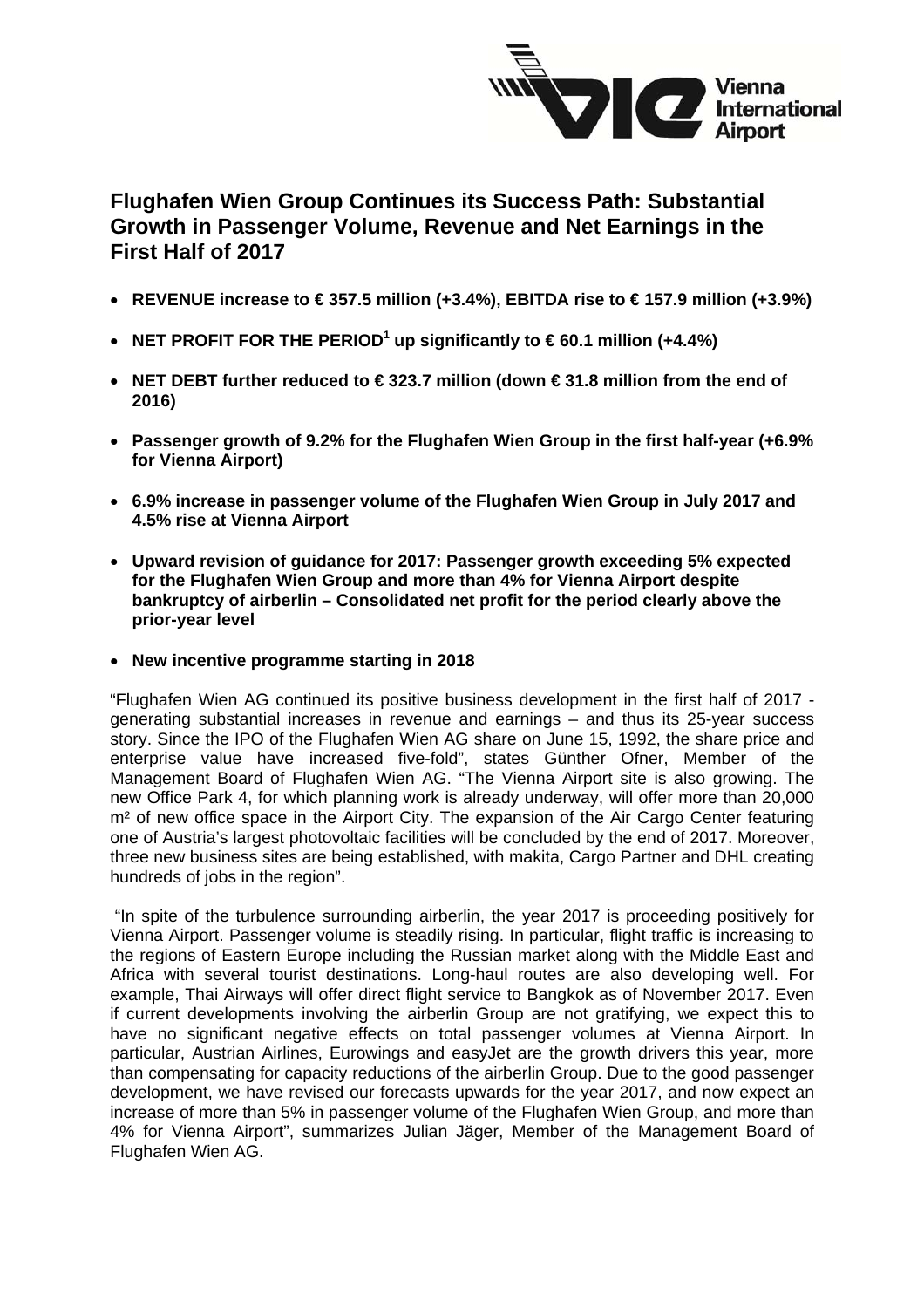

# **Flughafen Wien Group Continues its Success Path: Substantial Growth in Passenger Volume, Revenue and Net Earnings in the First Half of 2017**

- **REVENUE increase to € 357.5 million (+3.4%), EBITDA rise to € 157.9 million (+3.9%)**
- **NET PROFIT FOR THE PERIOD<sup>1</sup> up significantly to**  $€60.1$  **million (+4.4%)**
- **NET DEBT further reduced to € 323.7 million (down € 31.8 million from the end of 2016)**
- **Passenger growth of 9.2% for the Flughafen Wien Group in the first half-year (+6.9% for Vienna Airport)**
- **6.9% increase in passenger volume of the Flughafen Wien Group in July 2017 and 4.5% rise at Vienna Airport**
- **Upward revision of guidance for 2017: Passenger growth exceeding 5% expected for the Flughafen Wien Group and more than 4% for Vienna Airport despite bankruptcy of airberlin – Consolidated net profit for the period clearly above the prior-year level**
- **New incentive programme starting in 2018**

"Flughafen Wien AG continued its positive business development in the first half of 2017 generating substantial increases in revenue and earnings – and thus its 25-year success story. Since the IPO of the Flughafen Wien AG share on June 15, 1992, the share price and enterprise value have increased five-fold", states Günther Ofner, Member of the Management Board of Flughafen Wien AG. "The Vienna Airport site is also growing. The new Office Park 4, for which planning work is already underway, will offer more than 20,000 m<sup>2</sup> of new office space in the Airport City. The expansion of the Air Cargo Center featuring one of Austria's largest photovoltaic facilities will be concluded by the end of 2017. Moreover, three new business sites are being established, with makita, Cargo Partner and DHL creating hundreds of jobs in the region".

 "In spite of the turbulence surrounding airberlin, the year 2017 is proceeding positively for Vienna Airport. Passenger volume is steadily rising. In particular, flight traffic is increasing to the regions of Eastern Europe including the Russian market along with the Middle East and Africa with several tourist destinations. Long-haul routes are also developing well. For example, Thai Airways will offer direct flight service to Bangkok as of November 2017. Even if current developments involving the airberlin Group are not gratifying, we expect this to have no significant negative effects on total passenger volumes at Vienna Airport. In particular, Austrian Airlines, Eurowings and easyJet are the growth drivers this year, more than compensating for capacity reductions of the airberlin Group. Due to the good passenger development, we have revised our forecasts upwards for the year 2017, and now expect an increase of more than 5% in passenger volume of the Flughafen Wien Group, and more than 4% for Vienna Airport", summarizes Julian Jäger, Member of the Management Board of Flughafen Wien AG.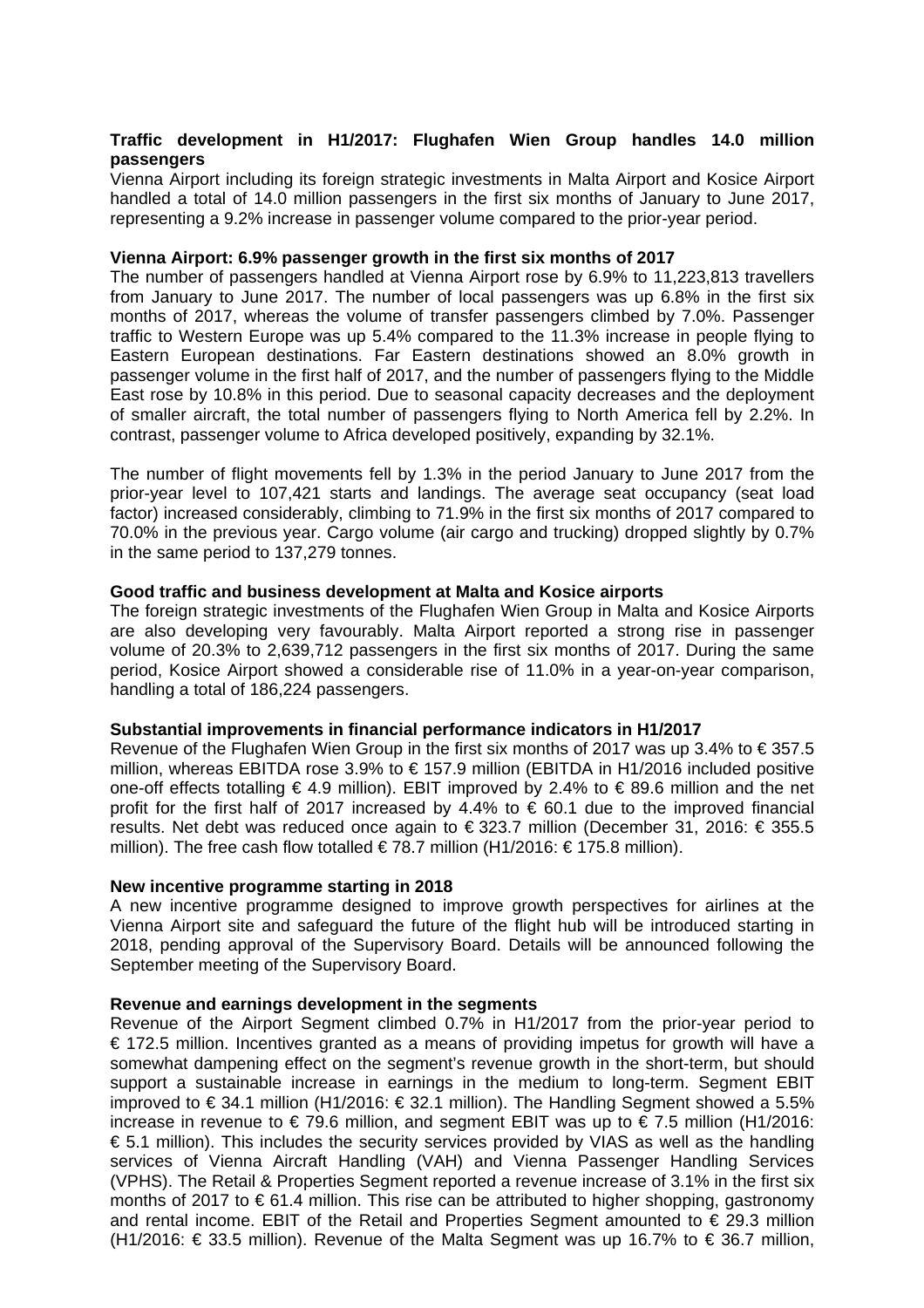## **Traffic development in H1/2017: Flughafen Wien Group handles 14.0 million passengers**

Vienna Airport including its foreign strategic investments in Malta Airport and Kosice Airport handled a total of 14.0 million passengers in the first six months of January to June 2017, representing a 9.2% increase in passenger volume compared to the prior-year period.

### **Vienna Airport: 6.9% passenger growth in the first six months of 2017**

The number of passengers handled at Vienna Airport rose by 6.9% to 11,223,813 travellers from January to June 2017. The number of local passengers was up 6.8% in the first six months of 2017, whereas the volume of transfer passengers climbed by 7.0%. Passenger traffic to Western Europe was up 5.4% compared to the 11.3% increase in people flying to Eastern European destinations. Far Eastern destinations showed an 8.0% growth in passenger volume in the first half of 2017, and the number of passengers flying to the Middle East rose by 10.8% in this period. Due to seasonal capacity decreases and the deployment of smaller aircraft, the total number of passengers flying to North America fell by 2.2%. In contrast, passenger volume to Africa developed positively, expanding by 32.1%.

The number of flight movements fell by 1.3% in the period January to June 2017 from the prior-year level to 107,421 starts and landings. The average seat occupancy (seat load factor) increased considerably, climbing to 71.9% in the first six months of 2017 compared to 70.0% in the previous year. Cargo volume (air cargo and trucking) dropped slightly by 0.7% in the same period to 137,279 tonnes.

## **Good traffic and business development at Malta and Kosice airports**

The foreign strategic investments of the Flughafen Wien Group in Malta and Kosice Airports are also developing very favourably. Malta Airport reported a strong rise in passenger volume of 20.3% to 2,639,712 passengers in the first six months of 2017. During the same period, Kosice Airport showed a considerable rise of 11.0% in a year-on-year comparison, handling a total of 186,224 passengers.

#### **Substantial improvements in financial performance indicators in H1/2017**

Revenue of the Flughafen Wien Group in the first six months of 2017 was up 3.4% to € 357.5 million, whereas EBITDA rose 3.9% to € 157.9 million (EBITDA in H1/2016 included positive one-off effects totalling € 4.9 million). EBIT improved by 2.4% to  $\epsilon$  89.6 million and the net profit for the first half of 2017 increased by 4.4% to  $\epsilon$  60.1 due to the improved financial results. Net debt was reduced once again to € 323.7 million (December 31, 2016: € 355.5 million). The free cash flow totalled €78.7 million (H1/2016: €175.8 million).

#### **New incentive programme starting in 2018**

A new incentive programme designed to improve growth perspectives for airlines at the Vienna Airport site and safeguard the future of the flight hub will be introduced starting in 2018, pending approval of the Supervisory Board. Details will be announced following the September meeting of the Supervisory Board.

#### **Revenue and earnings development in the segments**

Revenue of the Airport Segment climbed 0.7% in H1/2017 from the prior-year period to € 172.5 million. Incentives granted as a means of providing impetus for growth will have a somewhat dampening effect on the segment's revenue growth in the short-term, but should support a sustainable increase in earnings in the medium to long-term. Segment EBIT improved to €34.1 million (H1/2016: €32.1 million). The Handling Segment showed a 5.5% increase in revenue to  $\epsilon$  79.6 million, and segment EBIT was up to  $\epsilon$  7.5 million (H1/2016: € 5.1 million). This includes the security services provided by VIAS as well as the handling services of Vienna Aircraft Handling (VAH) and Vienna Passenger Handling Services (VPHS). The Retail & Properties Segment reported a revenue increase of 3.1% in the first six months of 2017 to € 61.4 million. This rise can be attributed to higher shopping, gastronomy and rental income. EBIT of the Retail and Properties Segment amounted to € 29.3 million (H1/2016: € 33.5 million). Revenue of the Malta Segment was up 16.7% to € 36.7 million,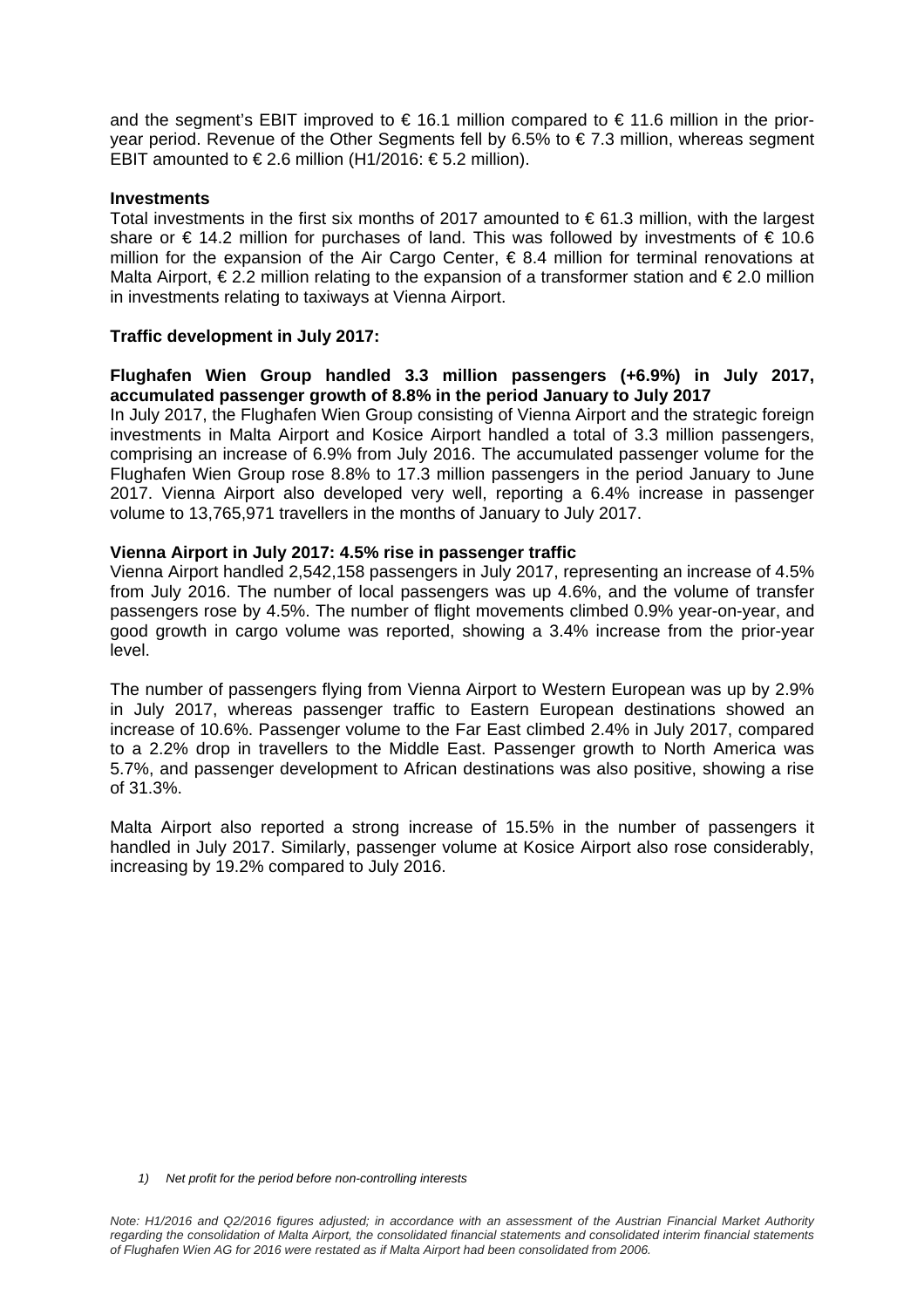and the segment's EBIT improved to  $\epsilon$  16.1 million compared to  $\epsilon$  11.6 million in the prioryear period. Revenue of the Other Segments fell by 6.5% to  $\epsilon$  7.3 million, whereas segment EBIT amounted to €2.6 million (H1/2016: €5.2 million).

#### **Investments**

Total investments in the first six months of 2017 amounted to  $\epsilon$  61.3 million, with the largest share or  $\epsilon$  14.2 million for purchases of land. This was followed by investments of  $\epsilon$  10.6 million for the expansion of the Air Cargo Center,  $\epsilon$  8.4 million for terminal renovations at Malta Airport,  $\epsilon$  2.2 million relating to the expansion of a transformer station and  $\epsilon$  2.0 million in investments relating to taxiways at Vienna Airport.

#### **Traffic development in July 2017:**

### **Flughafen Wien Group handled 3.3 million passengers (+6.9%) in July 2017, accumulated passenger growth of 8.8% in the period January to July 2017**

In July 2017, the Flughafen Wien Group consisting of Vienna Airport and the strategic foreign investments in Malta Airport and Kosice Airport handled a total of 3.3 million passengers, comprising an increase of 6.9% from July 2016. The accumulated passenger volume for the Flughafen Wien Group rose 8.8% to 17.3 million passengers in the period January to June 2017. Vienna Airport also developed very well, reporting a 6.4% increase in passenger volume to 13,765,971 travellers in the months of January to July 2017.

#### **Vienna Airport in July 2017: 4.5% rise in passenger traffic**

Vienna Airport handled 2,542,158 passengers in July 2017, representing an increase of 4.5% from July 2016. The number of local passengers was up 4.6%, and the volume of transfer passengers rose by 4.5%. The number of flight movements climbed 0.9% year-on-year, and good growth in cargo volume was reported, showing a 3.4% increase from the prior-year level.

The number of passengers flying from Vienna Airport to Western European was up by 2.9% in July 2017, whereas passenger traffic to Eastern European destinations showed an increase of 10.6%. Passenger volume to the Far East climbed 2.4% in July 2017, compared to a 2.2% drop in travellers to the Middle East. Passenger growth to North America was 5.7%, and passenger development to African destinations was also positive, showing a rise of 31.3%.

Malta Airport also reported a strong increase of 15.5% in the number of passengers it handled in July 2017. Similarly, passenger volume at Kosice Airport also rose considerably, increasing by 19.2% compared to July 2016.

*1) Net profit for the period before non-controlling interests*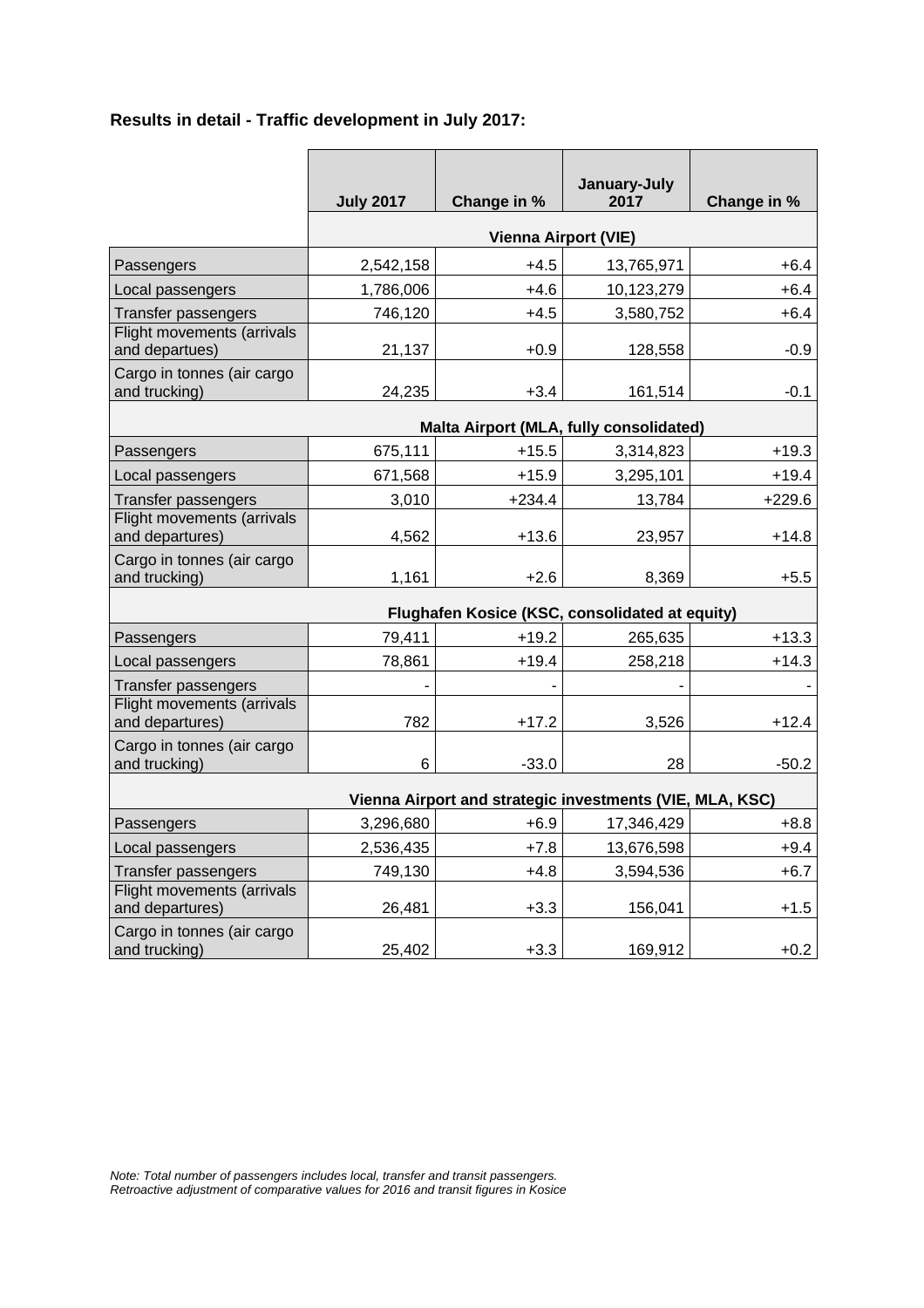# **Results in detail - Traffic development in July 2017:**

|                                                          | <b>July 2017</b>            | Change in % | January-July<br>2017 | Change in % |  |
|----------------------------------------------------------|-----------------------------|-------------|----------------------|-------------|--|
|                                                          | <b>Vienna Airport (VIE)</b> |             |                      |             |  |
| Passengers                                               | 2,542,158                   | $+4.5$      | 13,765,971           | $+6.4$      |  |
| Local passengers                                         | 1,786,006                   | $+4.6$      | 10,123,279           | $+6.4$      |  |
| <b>Transfer passengers</b>                               | 746,120                     | $+4.5$      | 3,580,752            | $+6.4$      |  |
| Flight movements (arrivals<br>and departues)             | 21,137                      | $+0.9$      | 128,558              | $-0.9$      |  |
| Cargo in tonnes (air cargo<br>and trucking)              | 24,235                      | $+3.4$      | 161,514              | $-0.1$      |  |
| Malta Airport (MLA, fully consolidated)                  |                             |             |                      |             |  |
| Passengers                                               | 675,111                     | $+15.5$     | 3,314,823            | $+19.3$     |  |
| Local passengers                                         | 671,568                     | $+15.9$     | 3,295,101            | $+19.4$     |  |
| Transfer passengers                                      | 3,010                       | $+234.4$    | 13,784               | $+229.6$    |  |
| Flight movements (arrivals<br>and departures)            | 4,562                       | $+13.6$     | 23,957               | $+14.8$     |  |
| Cargo in tonnes (air cargo<br>and trucking)              | 1,161                       | $+2.6$      | 8,369                | $+5.5$      |  |
| Flughafen Kosice (KSC, consolidated at equity)           |                             |             |                      |             |  |
| Passengers                                               | 79,411                      | $+19.2$     | 265,635              | $+13.3$     |  |
| Local passengers                                         | 78,861                      | $+19.4$     | 258,218              | $+14.3$     |  |
| <b>Transfer passengers</b>                               |                             |             |                      |             |  |
| Flight movements (arrivals<br>and departures)            | 782                         | $+17.2$     | 3,526                | $+12.4$     |  |
| Cargo in tonnes (air cargo<br>and trucking)              | 6                           | $-33.0$     | 28                   | $-50.2$     |  |
| Vienna Airport and strategic investments (VIE, MLA, KSC) |                             |             |                      |             |  |
| Passengers                                               | 3,296,680                   | $+6.9$      | 17,346,429           | $+8.8$      |  |
| Local passengers                                         | 2,536,435                   | $+7.8$      | 13,676,598           | $+9.4$      |  |
| <b>Transfer passengers</b>                               | 749,130                     | $+4.8$      | 3,594,536            | $+6.7$      |  |
| Flight movements (arrivals<br>and departures)            | 26,481                      | $+3.3$      | 156,041              | $+1.5$      |  |
| Cargo in tonnes (air cargo<br>and trucking)              | 25,402                      | $+3.3$      | 169,912              | $+0.2$      |  |

*Note: Total number of passengers includes local, transfer and transit passengers. Retroactive adjustment of comparative values for 2016 and transit figures in Kosice*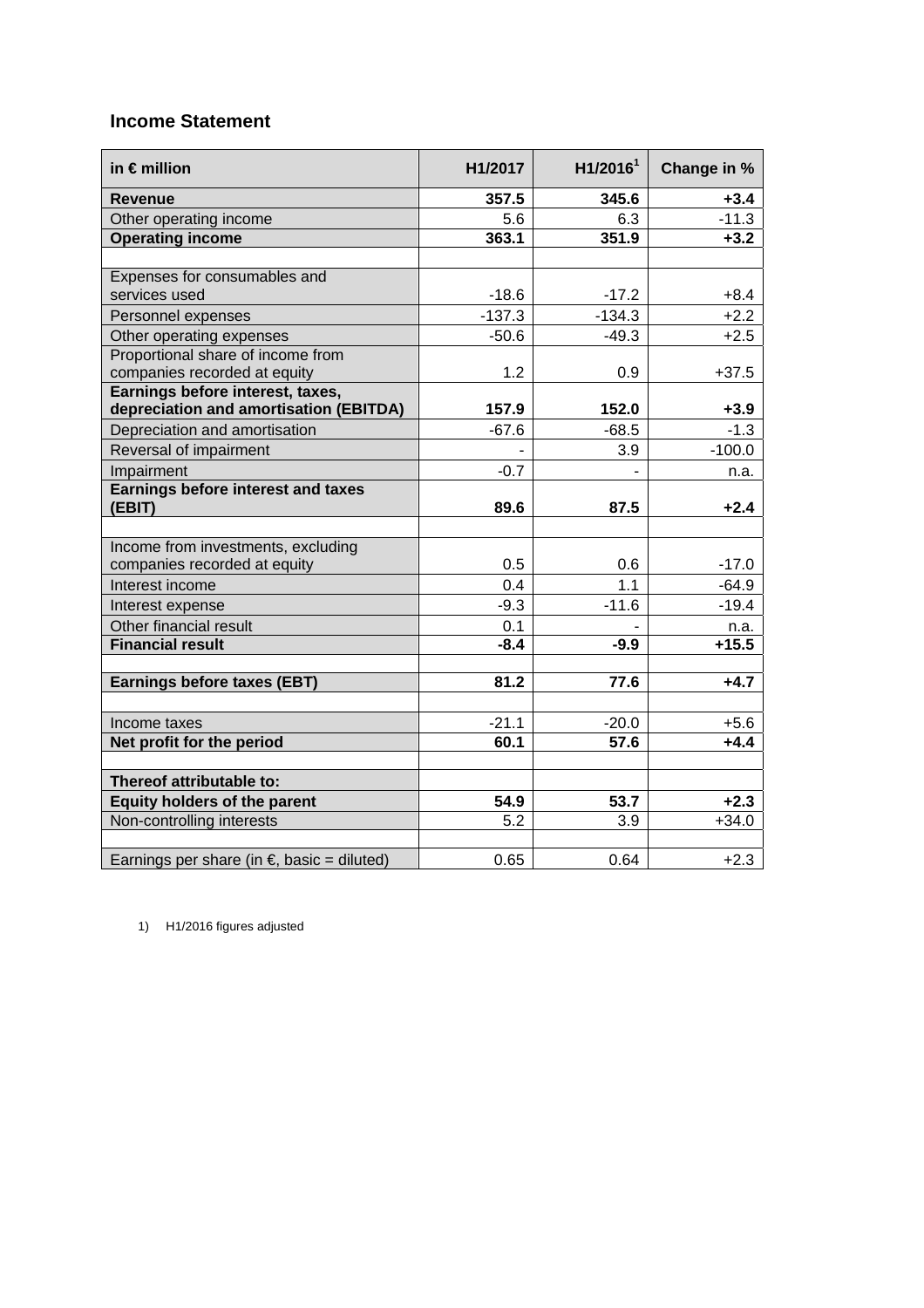# **Income Statement**

| in $\epsilon$ million                                                      | H1/2017          | H1/2016 <sup>1</sup> | Change in %      |
|----------------------------------------------------------------------------|------------------|----------------------|------------------|
| <b>Revenue</b>                                                             | 357.5            | 345.6                | $+3.4$           |
| Other operating income                                                     | 5.6              | 6.3                  | $-11.3$          |
| <b>Operating income</b>                                                    | 363.1            | 351.9                | $+3.2$           |
|                                                                            |                  |                      |                  |
| Expenses for consumables and                                               |                  |                      |                  |
| services used                                                              | $-18.6$          | $-17.2$              | $+8.4$           |
| Personnel expenses                                                         | $-137.3$         | $-134.3$             | $+2.2$           |
| Other operating expenses                                                   | $-50.6$          | $-49.3$              | $+2.5$           |
| Proportional share of income from                                          |                  |                      |                  |
| companies recorded at equity                                               | 1.2              | 0.9                  | $+37.5$          |
| Earnings before interest, taxes,<br>depreciation and amortisation (EBITDA) | 157.9            | 152.0                |                  |
| Depreciation and amortisation                                              | $-67.6$          | $-68.5$              | $+3.9$<br>$-1.3$ |
|                                                                            |                  |                      |                  |
| Reversal of impairment                                                     |                  | 3.9                  | $-100.0$         |
| Impairment<br><b>Earnings before interest and taxes</b>                    | $-0.7$           |                      | n.a.             |
| (EBIT)                                                                     | 89.6             | 87.5                 | $+2.4$           |
|                                                                            |                  |                      |                  |
| Income from investments, excluding                                         |                  |                      |                  |
| companies recorded at equity                                               | 0.5              | 0.6                  | $-17.0$          |
| Interest income                                                            | 0.4              | 1.1                  | $-64.9$          |
| Interest expense                                                           | $-9.3$           | $-11.6$              | $-19.4$          |
| Other financial result                                                     | 0.1              |                      | n.a.             |
| <b>Financial result</b>                                                    | $-8.4$           | $-9.9$               | $+15.5$          |
|                                                                            |                  |                      |                  |
| <b>Earnings before taxes (EBT)</b>                                         | 81.2             | 77.6                 | $+4.7$           |
|                                                                            |                  |                      |                  |
| Income taxes                                                               | $-21.1$          | $-20.0$              | $+5.6$           |
| Net profit for the period                                                  | 60.1             | 57.6                 | $+4.4$           |
|                                                                            |                  |                      |                  |
| Thereof attributable to:                                                   |                  |                      |                  |
| <b>Equity holders of the parent</b>                                        | 54.9             | 53.7                 | $+2.3$           |
| Non-controlling interests                                                  | $\overline{5.2}$ | 3.9                  | $+34.0$          |
|                                                                            |                  |                      |                  |
| Earnings per share (in $\epsilon$ , basic = diluted)                       | 0.65             | 0.64                 | $+2.3$           |

1) H1/2016 figures adjusted